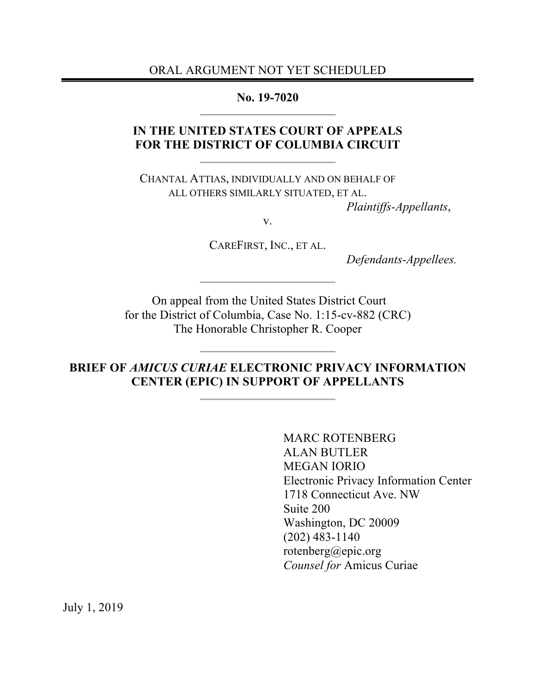ORAL ARGUMENT NOT YET SCHEDULED

**No. 19-7020**

## **IN THE UNITED STATES COURT OF APPEALS FOR THE DISTRICT OF COLUMBIA CIRCUIT**

CHANTAL ATTIAS, INDIVIDUALLY AND ON BEHALF OF ALL OTHERS SIMILARLY SITUATED, ET AL.

*Plaintiffs-Appellants*,

v.

CAREFIRST, INC., ET AL.

*Defendants-Appellees.*

On appeal from the United States District Court for the District of Columbia, Case No. 1:15-cv-882 (CRC) The Honorable Christopher R. Cooper

**BRIEF OF** *AMICUS CURIAE* **ELECTRONIC PRIVACY INFORMATION CENTER (EPIC) IN SUPPORT OF APPELLANTS**

> MARC ROTENBERG ALAN BUTLER MEGAN IORIO Electronic Privacy Information Center 1718 Connecticut Ave. NW Suite 200 Washington, DC 20009 (202) 483-1140 rotenberg@epic.org *Counsel for* Amicus Curiae

July 1, 2019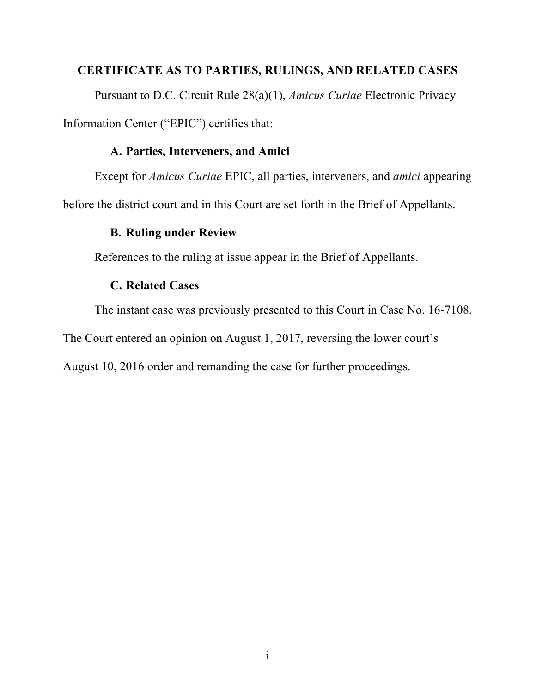#### **CERTIFICATE AS TO PARTIES, RULINGS, AND RELATED CASES**

Pursuant to D.C. Circuit Rule 28(a)(1), *Amicus Curiae* Electronic Privacy Information Center ("EPIC") certifies that:

#### **A. Parties, Interveners, and Amici**

Except for *Amicus Curiae* EPIC, all parties, interveners, and *amici* appearing

before the district court and in this Court are set forth in the Brief of Appellants.

## **B. Ruling under Review**

References to the ruling at issue appear in the Brief of Appellants.

#### **C. Related Cases**

The instant case was previously presented to this Court in Case No. 16-7108.

The Court entered an opinion on August 1, 2017, reversing the lower court's

August 10, 2016 order and remanding the case for further proceedings.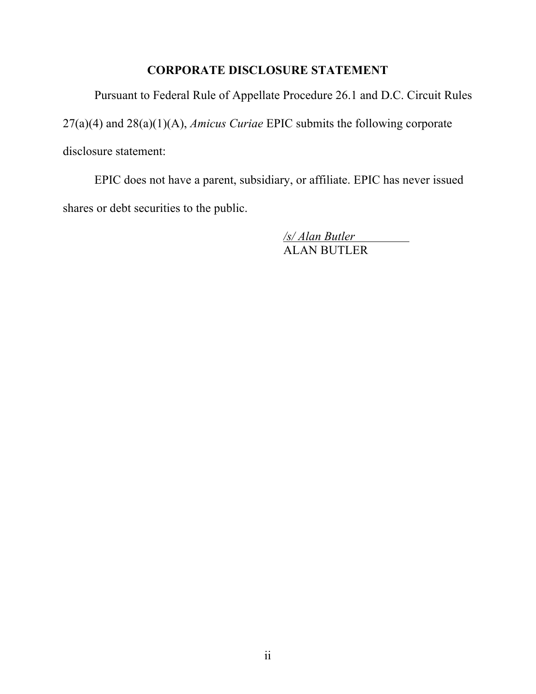## **CORPORATE DISCLOSURE STATEMENT**

Pursuant to Federal Rule of Appellate Procedure 26.1 and D.C. Circuit Rules

27(a)(4) and 28(a)(1)(A), *Amicus Curiae* EPIC submits the following corporate

disclosure statement:

EPIC does not have a parent, subsidiary, or affiliate. EPIC has never issued shares or debt securities to the public.

> */s/ Alan Butler* ALAN BUTLER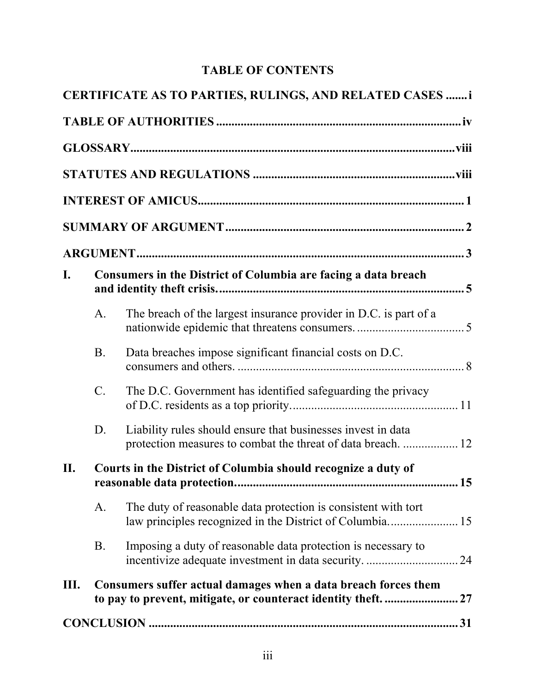# **TABLE OF CONTENTS**

|     |                                                                | CERTIFICATE AS TO PARTIES, RULINGS, AND RELATED CASES  i                                                                     |  |
|-----|----------------------------------------------------------------|------------------------------------------------------------------------------------------------------------------------------|--|
|     |                                                                |                                                                                                                              |  |
|     |                                                                |                                                                                                                              |  |
|     |                                                                |                                                                                                                              |  |
|     |                                                                |                                                                                                                              |  |
|     |                                                                |                                                                                                                              |  |
|     |                                                                |                                                                                                                              |  |
| I.  | Consumers in the District of Columbia are facing a data breach |                                                                                                                              |  |
|     | A.                                                             | The breach of the largest insurance provider in D.C. is part of a                                                            |  |
|     | <b>B.</b>                                                      | Data breaches impose significant financial costs on D.C.                                                                     |  |
|     | $C_{\cdot}$                                                    | The D.C. Government has identified safeguarding the privacy                                                                  |  |
|     | D.                                                             | Liability rules should ensure that businesses invest in data<br>protection measures to combat the threat of data breach.  12 |  |
| II. | Courts in the District of Columbia should recognize a duty of  |                                                                                                                              |  |
|     | A.                                                             | The duty of reasonable data protection is consistent with tort                                                               |  |
|     | <b>B.</b>                                                      | Imposing a duty of reasonable data protection is necessary to                                                                |  |
| Ш.  |                                                                | Consumers suffer actual damages when a data breach forces them                                                               |  |
|     |                                                                |                                                                                                                              |  |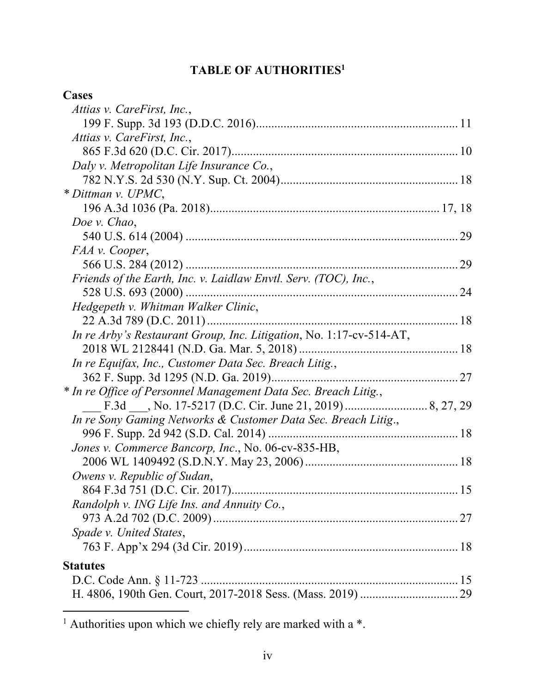# **TABLE OF AUTHORITIES1**

| Cases                                                               |  |
|---------------------------------------------------------------------|--|
| Attias v. CareFirst, Inc.,                                          |  |
|                                                                     |  |
| Attias v. CareFirst, Inc.,                                          |  |
|                                                                     |  |
| Daly v. Metropolitan Life Insurance Co.,                            |  |
|                                                                     |  |
| * Dittman v. UPMC,                                                  |  |
|                                                                     |  |
| Doe v. Chao,                                                        |  |
|                                                                     |  |
| FAA v. Cooper,                                                      |  |
|                                                                     |  |
| Friends of the Earth, Inc. v. Laidlaw Envtl. Serv. (TOC), Inc.,     |  |
|                                                                     |  |
| Hedgepeth v. Whitman Walker Clinic,                                 |  |
|                                                                     |  |
| In re Arby's Restaurant Group, Inc. Litigation, No. 1:17-cv-514-AT, |  |
|                                                                     |  |
| In re Equifax, Inc., Customer Data Sec. Breach Litig.,              |  |
|                                                                     |  |
| * In re Office of Personnel Management Data Sec. Breach Litig.,     |  |
|                                                                     |  |
| In re Sony Gaming Networks & Customer Data Sec. Breach Litig.,      |  |
|                                                                     |  |
| Jones v. Commerce Bancorp, Inc., No. 06-cv-835-HB,                  |  |
|                                                                     |  |
| Owens v. Republic of Sudan,                                         |  |
|                                                                     |  |
| Randolph v. ING Life Ins. and Annuity Co.,                          |  |
|                                                                     |  |
| Spade v. United States,                                             |  |
|                                                                     |  |
| <b>Statutes</b>                                                     |  |
|                                                                     |  |
|                                                                     |  |

l

 $1$  Authorities upon which we chiefly rely are marked with a  $*$ .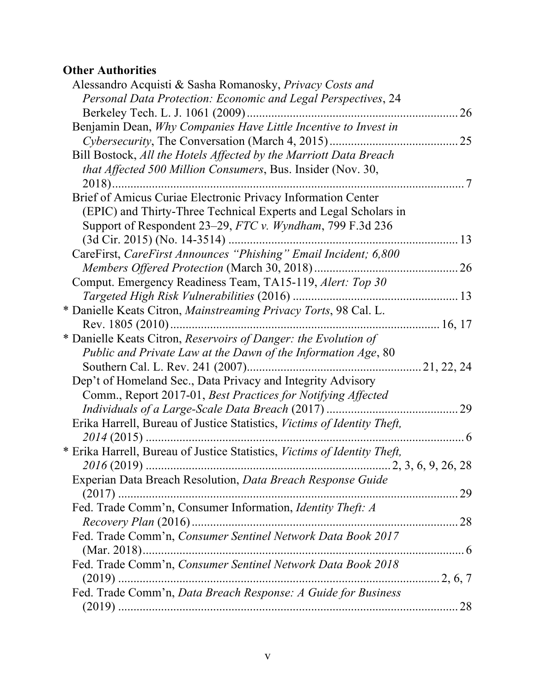# **Other Authorities**

| Alessandro Acquisti & Sasha Romanosky, Privacy Costs and                  |         |
|---------------------------------------------------------------------------|---------|
| Personal Data Protection: Economic and Legal Perspectives, 24             |         |
|                                                                           | 26      |
| Benjamin Dean, Why Companies Have Little Incentive to Invest in           |         |
|                                                                           | 25      |
| Bill Bostock, All the Hotels Affected by the Marriott Data Breach         |         |
| that Affected 500 Million Consumers, Bus. Insider (Nov. 30,               |         |
|                                                                           | .7<br>. |
| Brief of Amicus Curiae Electronic Privacy Information Center              |         |
| (EPIC) and Thirty-Three Technical Experts and Legal Scholars in           |         |
| Support of Respondent 23–29, FTC v. Wyndham, 799 F.3d 236                 |         |
| $(3d$ Cir. 2015) (No. 14-3514)                                            |         |
| CareFirst, CareFirst Announces "Phishing" Email Incident; 6,800           |         |
|                                                                           |         |
| Comput. Emergency Readiness Team, TA15-119, Alert: Top 30                 |         |
|                                                                           |         |
| * Danielle Keats Citron, Mainstreaming Privacy Torts, 98 Cal. L.          |         |
| Rev. 1805 (2010)                                                          |         |
| * Danielle Keats Citron, Reservoirs of Danger: the Evolution of           |         |
| Public and Private Law at the Dawn of the Information Age, 80             |         |
|                                                                           |         |
| Dep't of Homeland Sec., Data Privacy and Integrity Advisory               |         |
| Comm., Report 2017-01, Best Practices for Notifying Affected              |         |
|                                                                           |         |
| Erika Harrell, Bureau of Justice Statistics, Victims of Identity Theft,   |         |
|                                                                           |         |
| * Erika Harrell, Bureau of Justice Statistics, Victims of Identity Theft, |         |
|                                                                           |         |
| Experian Data Breach Resolution, Data Breach Response Guide               |         |
|                                                                           |         |
| Fed. Trade Comm'n, Consumer Information, Identity Theft: A                |         |
|                                                                           |         |
| Fed. Trade Comm'n, Consumer Sentinel Network Data Book 2017               |         |
|                                                                           |         |
| Fed. Trade Comm'n, Consumer Sentinel Network Data Book 2018               |         |
|                                                                           |         |
| Fed. Trade Comm'n, Data Breach Response: A Guide for Business             |         |
|                                                                           |         |
|                                                                           |         |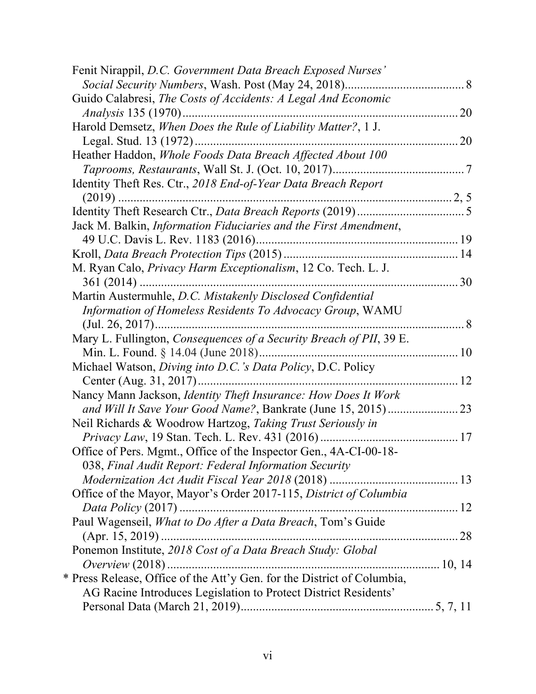| Fenit Nirappil, D.C. Government Data Breach Exposed Nurses'             |     |
|-------------------------------------------------------------------------|-----|
|                                                                         |     |
| Guido Calabresi, The Costs of Accidents: A Legal And Economic           |     |
| <i>Analysis</i> 135 (1970)                                              | .20 |
| Harold Demsetz, When Does the Rule of Liability Matter?, 1 J.           |     |
|                                                                         |     |
| Heather Haddon, Whole Foods Data Breach Affected About 100              |     |
|                                                                         |     |
| Identity Theft Res. Ctr., 2018 End-of-Year Data Breach Report           |     |
|                                                                         |     |
|                                                                         |     |
| Jack M. Balkin, Information Fiduciaries and the First Amendment,        |     |
|                                                                         |     |
|                                                                         |     |
| M. Ryan Calo, <i>Privacy Harm Exceptionalism</i> , 12 Co. Tech. L. J.   |     |
|                                                                         | 30  |
| Martin Austermuhle, D.C. Mistakenly Disclosed Confidential              |     |
| Information of Homeless Residents To Advocacy Group, WAMU               |     |
|                                                                         |     |
| Mary L. Fullington, Consequences of a Security Breach of PII, 39 E.     |     |
| Min. L. Found. § 14.04 (June 2018)                                      |     |
| Michael Watson, Diving into D.C.'s Data Policy, D.C. Policy             | 12  |
| Center (Aug. 31, 2017)                                                  |     |
| Nancy Mann Jackson, Identity Theft Insurance: How Does It Work          | 23  |
| and Will It Save Your Good Name?, Bankrate (June 15, 2015)              |     |
| Neil Richards & Woodrow Hartzog, Taking Trust Seriously in              |     |
| Office of Pers. Mgmt., Office of the Inspector Gen., 4A-CI-00-18-       |     |
| 038, Final Audit Report: Federal Information Security                   |     |
|                                                                         |     |
| Office of the Mayor, Mayor's Order 2017-115, District of Columbia       |     |
| <i>Data Policy</i> (2017)                                               |     |
| Paul Wagenseil, What to Do After a Data Breach, Tom's Guide             |     |
| $(Apr. 15, 2019)$                                                       |     |
| Ponemon Institute, 2018 Cost of a Data Breach Study: Global             |     |
| Overview $(2018)$                                                       |     |
| * Press Release, Office of the Att'y Gen. for the District of Columbia, |     |
| AG Racine Introduces Legislation to Protect District Residents'         |     |
|                                                                         |     |
|                                                                         |     |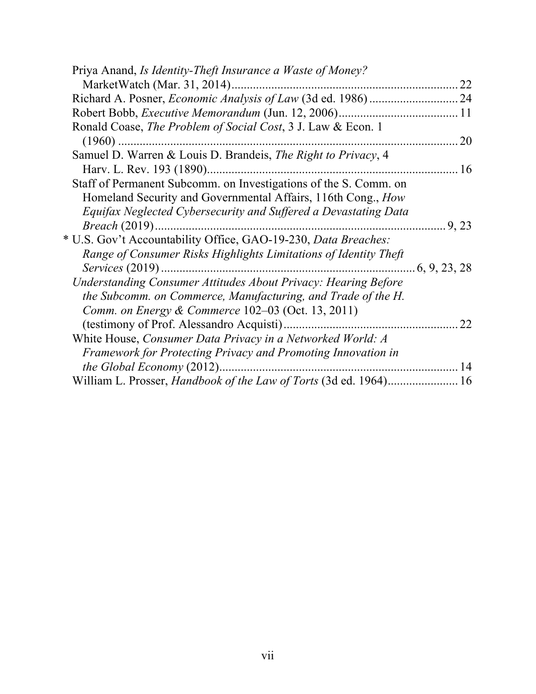| Priya Anand, Is Identity-Theft Insurance a Waste of Money?            |               |
|-----------------------------------------------------------------------|---------------|
| MarketWatch (Mar. 31, 2014)                                           | 22            |
|                                                                       |               |
|                                                                       |               |
| Ronald Coase, The Problem of Social Cost, 3 J. Law & Econ. 1          |               |
| $(1960)$                                                              | 20            |
| Samuel D. Warren & Louis D. Brandeis, The Right to Privacy, 4         |               |
| Harv. L. Rev. 193 (1890)                                              | 16            |
| Staff of Permanent Subcomm. on Investigations of the S. Comm. on      |               |
| Homeland Security and Governmental Affairs, 116th Cong., How          |               |
| Equifax Neglected Cybersecurity and Suffered a Devastating Data       |               |
| <i>Breach</i> (2019)                                                  | 9, 23         |
| * U.S. Gov't Accountability Office, GAO-19-230, Data Breaches:        |               |
| Range of Consumer Risks Highlights Limitations of Identity Theft      |               |
| <i>Services</i> (2019)                                                | .6, 9, 23, 28 |
| Understanding Consumer Attitudes About Privacy: Hearing Before        |               |
| the Subcomm. on Commerce, Manufacturing, and Trade of the H.          |               |
| <i>Comm. on Energy &amp; Commerce</i> $102-03$ (Oct. 13, 2011)        |               |
| (testimony of Prof. Alessandro Acquisti)                              | 22            |
| White House, Consumer Data Privacy in a Networked World: A            |               |
| Framework for Protecting Privacy and Promoting Innovation in          |               |
|                                                                       | 14            |
| William L. Prosser, <i>Handbook of the Law of Torts</i> (3d ed. 1964) | 16            |
|                                                                       |               |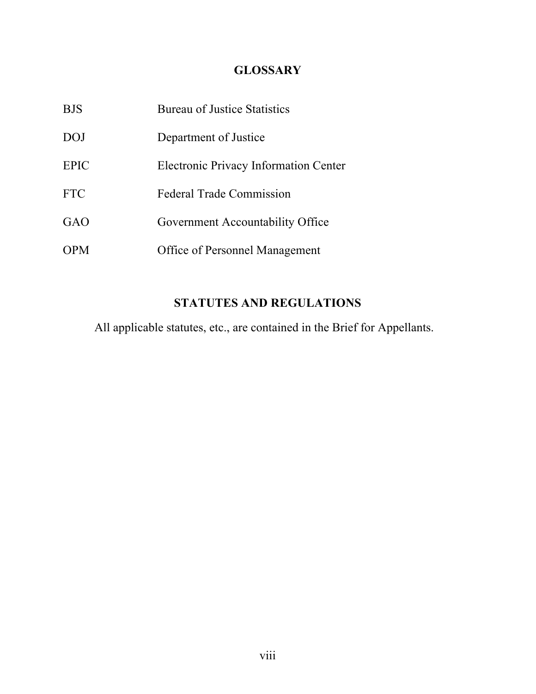# **GLOSSARY**

| <b>BJS</b>  | <b>Bureau of Justice Statistics</b>          |
|-------------|----------------------------------------------|
| DOJ         | Department of Justice                        |
| <b>EPIC</b> | <b>Electronic Privacy Information Center</b> |
| <b>FTC</b>  | <b>Federal Trade Commission</b>              |
| GAO         | Government Accountability Office             |
| <b>OPM</b>  | <b>Office of Personnel Management</b>        |

# **STATUTES AND REGULATIONS**

All applicable statutes, etc., are contained in the Brief for Appellants.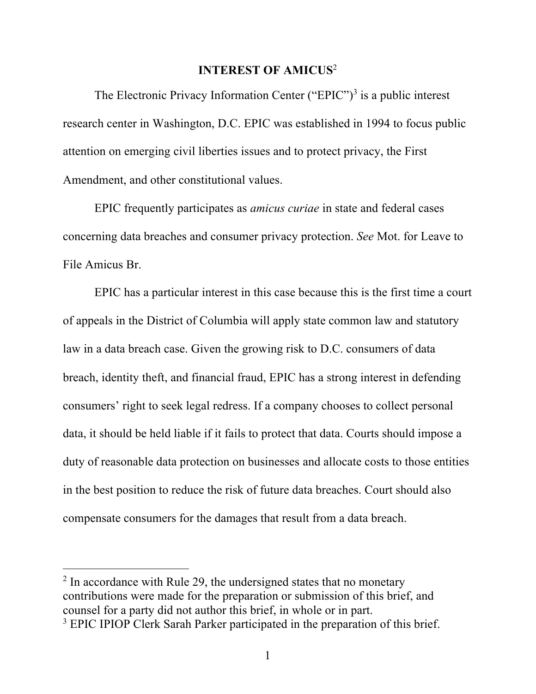#### **INTEREST OF AMICUS**<sup>2</sup>

The Electronic Privacy Information Center ("EPIC")<sup>3</sup> is a public interest research center in Washington, D.C. EPIC was established in 1994 to focus public attention on emerging civil liberties issues and to protect privacy, the First Amendment, and other constitutional values.

EPIC frequently participates as *amicus curiae* in state and federal cases concerning data breaches and consumer privacy protection. *See* Mot. for Leave to File Amicus Br.

EPIC has a particular interest in this case because this is the first time a court of appeals in the District of Columbia will apply state common law and statutory law in a data breach case. Given the growing risk to D.C. consumers of data breach, identity theft, and financial fraud, EPIC has a strong interest in defending consumers' right to seek legal redress. If a company chooses to collect personal data, it should be held liable if it fails to protect that data. Courts should impose a duty of reasonable data protection on businesses and allocate costs to those entities in the best position to reduce the risk of future data breaches. Court should also compensate consumers for the damages that result from a data breach.

 $2 \text{ In accordance with Rule 29, the undersigned states that no monetary.}$ contributions were made for the preparation or submission of this brief, and counsel for a party did not author this brief, in whole or in part.

<sup>&</sup>lt;sup>3</sup> EPIC IPIOP Clerk Sarah Parker participated in the preparation of this brief.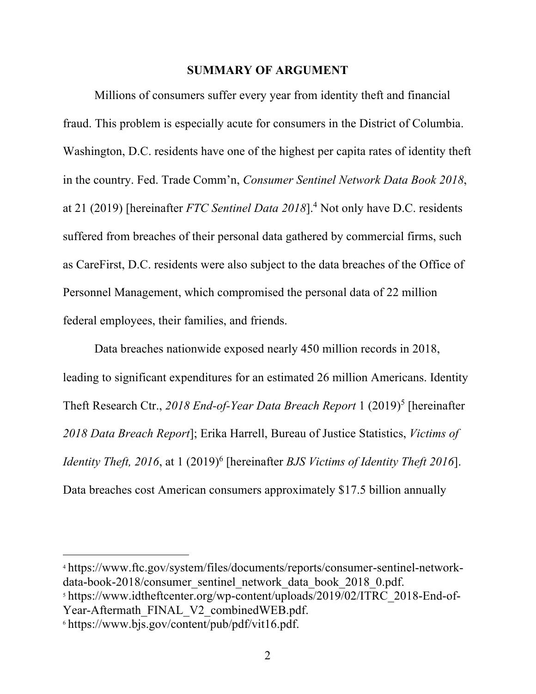#### **SUMMARY OF ARGUMENT**

Millions of consumers suffer every year from identity theft and financial fraud. This problem is especially acute for consumers in the District of Columbia. Washington, D.C. residents have one of the highest per capita rates of identity theft in the country. Fed. Trade Comm'n, *Consumer Sentinel Network Data Book 2018*, at 21 (2019) [hereinafter *FTC Sentinel Data 2018*].4 Not only have D.C. residents suffered from breaches of their personal data gathered by commercial firms, such as CareFirst, D.C. residents were also subject to the data breaches of the Office of Personnel Management, which compromised the personal data of 22 million federal employees, their families, and friends.

Data breaches nationwide exposed nearly 450 million records in 2018, leading to significant expenditures for an estimated 26 million Americans. Identity Theft Research Ctr., 2018 End-of-Year Data Breach Report 1 (2019)<sup>5</sup> [hereinafter *2018 Data Breach Report*]; Erika Harrell, Bureau of Justice Statistics, *Victims of Identity Theft, 2016, at 1 (2019)<sup>6</sup> [hereinafter <i>BJS Victims of Identity Theft 2016*]. Data breaches cost American consumers approximately \$17.5 billion annually

<sup>4</sup> https://www.ftc.gov/system/files/documents/reports/consumer-sentinel-networkdata-book-2018/consumer\_sentinel\_network\_data\_book\_2018\_0.pdf.

<sup>5</sup> https://www.idtheftcenter.org/wp-content/uploads/2019/02/ITRC\_2018-End-of-Year-Aftermath\_FINAL\_V2\_combinedWEB.pdf.

<sup>6</sup> https://www.bjs.gov/content/pub/pdf/vit16.pdf.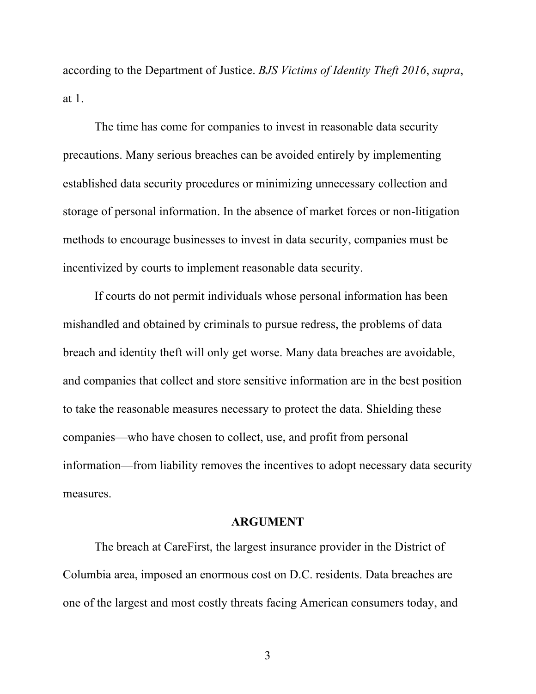according to the Department of Justice. *BJS Victims of Identity Theft 2016*, *supra*, at 1.

The time has come for companies to invest in reasonable data security precautions. Many serious breaches can be avoided entirely by implementing established data security procedures or minimizing unnecessary collection and storage of personal information. In the absence of market forces or non-litigation methods to encourage businesses to invest in data security, companies must be incentivized by courts to implement reasonable data security.

If courts do not permit individuals whose personal information has been mishandled and obtained by criminals to pursue redress, the problems of data breach and identity theft will only get worse. Many data breaches are avoidable, and companies that collect and store sensitive information are in the best position to take the reasonable measures necessary to protect the data. Shielding these companies—who have chosen to collect, use, and profit from personal information—from liability removes the incentives to adopt necessary data security measures.

#### **ARGUMENT**

The breach at CareFirst, the largest insurance provider in the District of Columbia area, imposed an enormous cost on D.C. residents. Data breaches are one of the largest and most costly threats facing American consumers today, and

3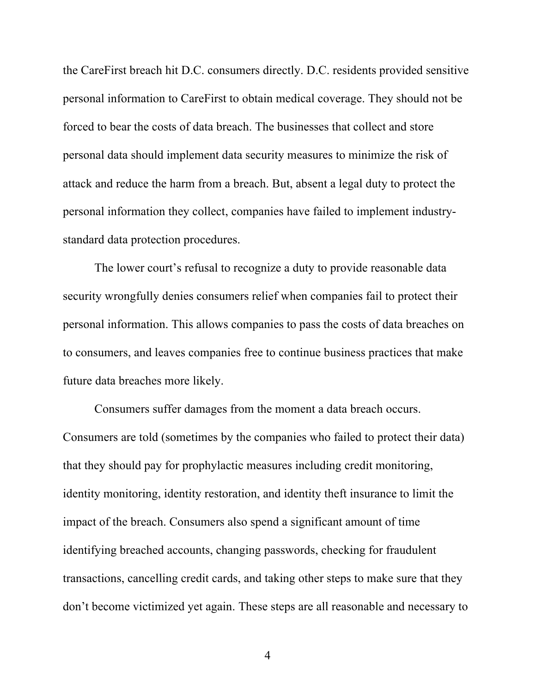the CareFirst breach hit D.C. consumers directly. D.C. residents provided sensitive personal information to CareFirst to obtain medical coverage. They should not be forced to bear the costs of data breach. The businesses that collect and store personal data should implement data security measures to minimize the risk of attack and reduce the harm from a breach. But, absent a legal duty to protect the personal information they collect, companies have failed to implement industrystandard data protection procedures.

The lower court's refusal to recognize a duty to provide reasonable data security wrongfully denies consumers relief when companies fail to protect their personal information. This allows companies to pass the costs of data breaches on to consumers, and leaves companies free to continue business practices that make future data breaches more likely.

Consumers suffer damages from the moment a data breach occurs. Consumers are told (sometimes by the companies who failed to protect their data) that they should pay for prophylactic measures including credit monitoring, identity monitoring, identity restoration, and identity theft insurance to limit the impact of the breach. Consumers also spend a significant amount of time identifying breached accounts, changing passwords, checking for fraudulent transactions, cancelling credit cards, and taking other steps to make sure that they don't become victimized yet again. These steps are all reasonable and necessary to

4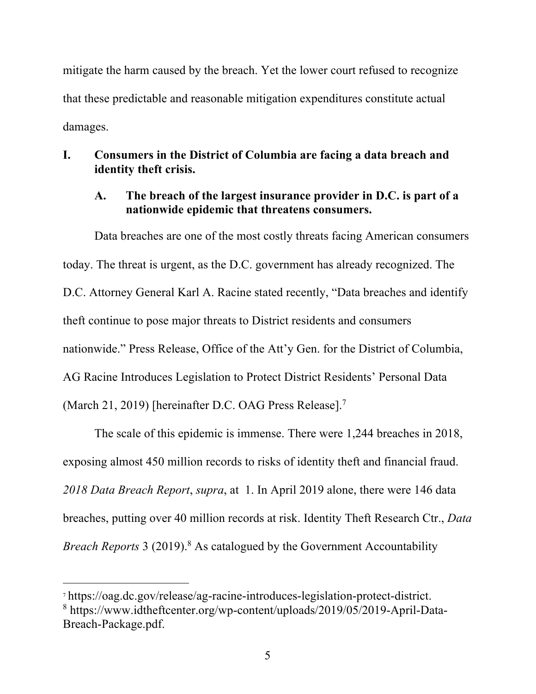mitigate the harm caused by the breach. Yet the lower court refused to recognize that these predictable and reasonable mitigation expenditures constitute actual damages.

## **I. Consumers in the District of Columbia are facing a data breach and identity theft crisis.**

## **A. The breach of the largest insurance provider in D.C. is part of a nationwide epidemic that threatens consumers.**

Data breaches are one of the most costly threats facing American consumers today. The threat is urgent, as the D.C. government has already recognized. The D.C. Attorney General Karl A. Racine stated recently, "Data breaches and identify theft continue to pose major threats to District residents and consumers nationwide." Press Release, Office of the Att'y Gen. for the District of Columbia, AG Racine Introduces Legislation to Protect District Residents' Personal Data (March 21, 2019) [hereinafter D.C. OAG Press Release].7

The scale of this epidemic is immense. There were 1,244 breaches in 2018, exposing almost 450 million records to risks of identity theft and financial fraud. *2018 Data Breach Report*, *supra*, at 1. In April 2019 alone, there were 146 data breaches, putting over 40 million records at risk. Identity Theft Research Ctr., *Data Breach Reports* 3 (2019). <sup>8</sup> As catalogued by the Government Accountability

<sup>7</sup> https://oag.dc.gov/release/ag-racine-introduces-legislation-protect-district. <sup>8</sup> https://www.idtheftcenter.org/wp-content/uploads/2019/05/2019-April-Data-Breach-Package.pdf.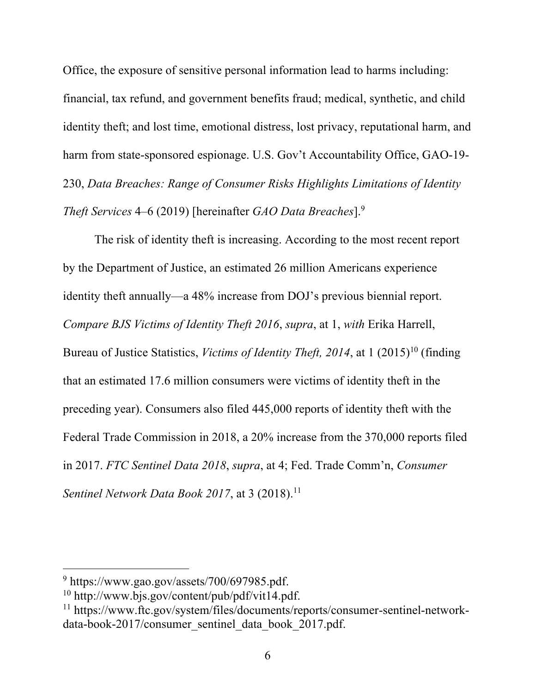Office, the exposure of sensitive personal information lead to harms including: financial, tax refund, and government benefits fraud; medical, synthetic, and child identity theft; and lost time, emotional distress, lost privacy, reputational harm, and harm from state-sponsored espionage. U.S. Gov't Accountability Office, GAO-19- 230, *Data Breaches: Range of Consumer Risks Highlights Limitations of Identity Theft Services* 4–6 (2019) [hereinafter *GAO Data Breaches*].9

The risk of identity theft is increasing. According to the most recent report by the Department of Justice, an estimated 26 million Americans experience identity theft annually—a 48% increase from DOJ's previous biennial report. *Compare BJS Victims of Identity Theft 2016*, *supra*, at 1, *with* Erika Harrell, Bureau of Justice Statistics, *Victims of Identity Theft, 2014*, at 1 (2015)<sup>10</sup> (finding that an estimated 17.6 million consumers were victims of identity theft in the preceding year). Consumers also filed 445,000 reports of identity theft with the Federal Trade Commission in 2018, a 20% increase from the 370,000 reports filed in 2017. *FTC Sentinel Data 2018*, *supra*, at 4; Fed. Trade Comm'n, *Consumer Sentinel Network Data Book 2017*, at 3 (2018). 11

<sup>9</sup> https://www.gao.gov/assets/700/697985.pdf.

<sup>10</sup> http://www.bjs.gov/content/pub/pdf/vit14.pdf.

<sup>11</sup> https://www.ftc.gov/system/files/documents/reports/consumer-sentinel-networkdata-book-2017/consumer\_sentinel\_data\_book\_2017.pdf.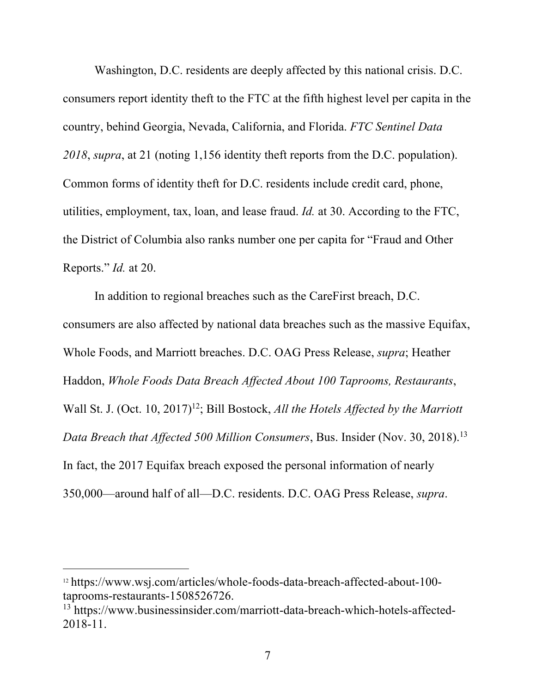Washington, D.C. residents are deeply affected by this national crisis. D.C. consumers report identity theft to the FTC at the fifth highest level per capita in the country, behind Georgia, Nevada, California, and Florida. *FTC Sentinel Data 2018*, *supra*, at 21 (noting 1,156 identity theft reports from the D.C. population). Common forms of identity theft for D.C. residents include credit card, phone, utilities, employment, tax, loan, and lease fraud. *Id.* at 30. According to the FTC, the District of Columbia also ranks number one per capita for "Fraud and Other Reports." *Id.* at 20.

In addition to regional breaches such as the CareFirst breach, D.C. consumers are also affected by national data breaches such as the massive Equifax, Whole Foods, and Marriott breaches. D.C. OAG Press Release, *supra*; Heather Haddon, *Whole Foods Data Breach Affected About 100 Taprooms, Restaurants*, Wall St. J. (Oct. 10, 2017)<sup>12</sup>; Bill Bostock, *All the Hotels Affected by the Marriott Data Breach that Affected 500 Million Consumers*, Bus. Insider (Nov. 30, 2018). 13 In fact, the 2017 Equifax breach exposed the personal information of nearly 350,000—around half of all—D.C. residents. D.C. OAG Press Release, *supra*.

<sup>12</sup> https://www.wsj.com/articles/whole-foods-data-breach-affected-about-100 taprooms-restaurants-1508526726.

<sup>13</sup> https://www.businessinsider.com/marriott-data-breach-which-hotels-affected-2018-11.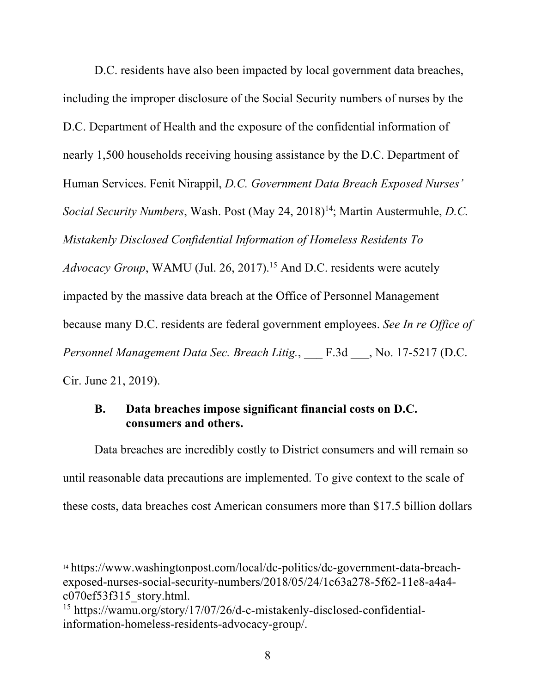D.C. residents have also been impacted by local government data breaches, including the improper disclosure of the Social Security numbers of nurses by the D.C. Department of Health and the exposure of the confidential information of nearly 1,500 households receiving housing assistance by the D.C. Department of Human Services. Fenit Nirappil, *D.C. Government Data Breach Exposed Nurses' Social Security Numbers*, Wash. Post (May 24, 2018)<sup>14</sup>; Martin Austermuhle, *D.C. Mistakenly Disclosed Confidential Information of Homeless Residents To Advocacy Group*, WAMU (Jul. 26, 2017). <sup>15</sup> And D.C. residents were acutely impacted by the massive data breach at the Office of Personnel Management because many D.C. residents are federal government employees. *See In re Office of Personnel Management Data Sec. Breach Litig.*, \_\_\_ F.3d \_\_\_, No. 17-5217 (D.C. Cir. June 21, 2019).

## **B. Data breaches impose significant financial costs on D.C. consumers and others.**

Data breaches are incredibly costly to District consumers and will remain so until reasonable data precautions are implemented. To give context to the scale of these costs, data breaches cost American consumers more than \$17.5 billion dollars

<sup>14</sup> https://www.washingtonpost.com/local/dc-politics/dc-government-data-breachexposed-nurses-social-security-numbers/2018/05/24/1c63a278-5f62-11e8-a4a4 c070ef53f315\_story.html.

<sup>15</sup> https://wamu.org/story/17/07/26/d-c-mistakenly-disclosed-confidentialinformation-homeless-residents-advocacy-group/.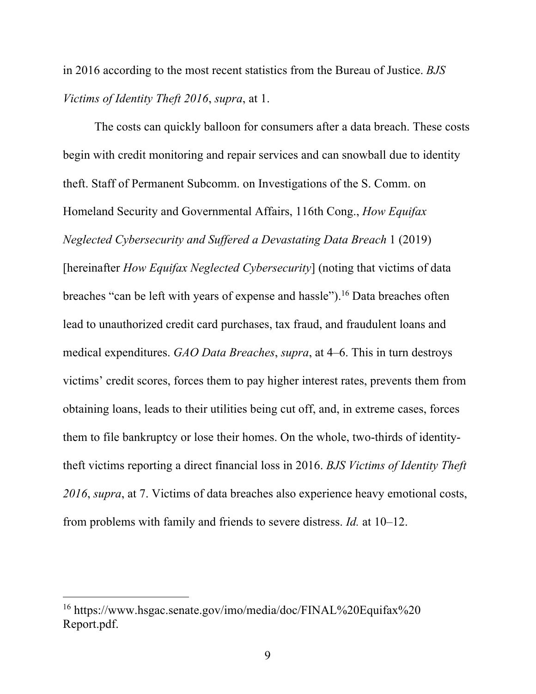in 2016 according to the most recent statistics from the Bureau of Justice. *BJS Victims of Identity Theft 2016*, *supra*, at 1.

The costs can quickly balloon for consumers after a data breach. These costs begin with credit monitoring and repair services and can snowball due to identity theft. Staff of Permanent Subcomm. on Investigations of the S. Comm. on Homeland Security and Governmental Affairs, 116th Cong., *How Equifax Neglected Cybersecurity and Suffered a Devastating Data Breach* 1 (2019) [hereinafter *How Equifax Neglected Cybersecurity*] (noting that victims of data breaches "can be left with years of expense and hassle").16 Data breaches often lead to unauthorized credit card purchases, tax fraud, and fraudulent loans and medical expenditures. *GAO Data Breaches*, *supra*, at 4–6. This in turn destroys victims' credit scores, forces them to pay higher interest rates, prevents them from obtaining loans, leads to their utilities being cut off, and, in extreme cases, forces them to file bankruptcy or lose their homes. On the whole, two-thirds of identitytheft victims reporting a direct financial loss in 2016. *BJS Victims of Identity Theft 2016*, *supra*, at 7. Victims of data breaches also experience heavy emotional costs, from problems with family and friends to severe distress. *Id.* at 10–12.

<sup>16</sup> https://www.hsgac.senate.gov/imo/media/doc/FINAL%20Equifax%20 Report.pdf.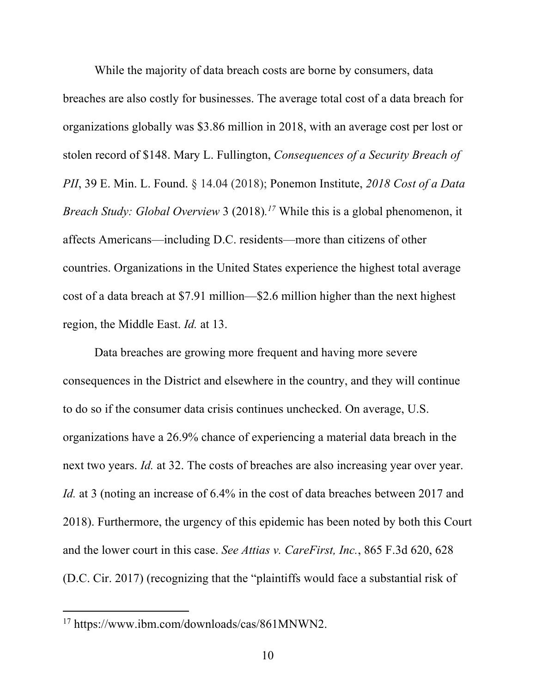While the majority of data breach costs are borne by consumers, data breaches are also costly for businesses. The average total cost of a data breach for organizations globally was \$3.86 million in 2018, with an average cost per lost or stolen record of \$148. Mary L. Fullington, *Consequences of a Security Breach of PII*, 39 E. Min. L. Found. § 14.04 (2018); Ponemon Institute, *2018 Cost of a Data Breach Study: Global Overview* 3 (2018)*. <sup>17</sup>* While this is a global phenomenon, it affects Americans—including D.C. residents—more than citizens of other countries. Organizations in the United States experience the highest total average cost of a data breach at \$7.91 million—\$2.6 million higher than the next highest region, the Middle East. *Id.* at 13.

Data breaches are growing more frequent and having more severe consequences in the District and elsewhere in the country, and they will continue to do so if the consumer data crisis continues unchecked. On average, U.S. organizations have a 26.9% chance of experiencing a material data breach in the next two years. *Id.* at 32. The costs of breaches are also increasing year over year. *Id.* at 3 (noting an increase of 6.4% in the cost of data breaches between 2017 and 2018). Furthermore, the urgency of this epidemic has been noted by both this Court and the lower court in this case. *See Attias v. CareFirst, Inc.*, 865 F.3d 620, 628 (D.C. Cir. 2017) (recognizing that the "plaintiffs would face a substantial risk of

l

<sup>17</sup> https://www.ibm.com/downloads/cas/861MNWN2.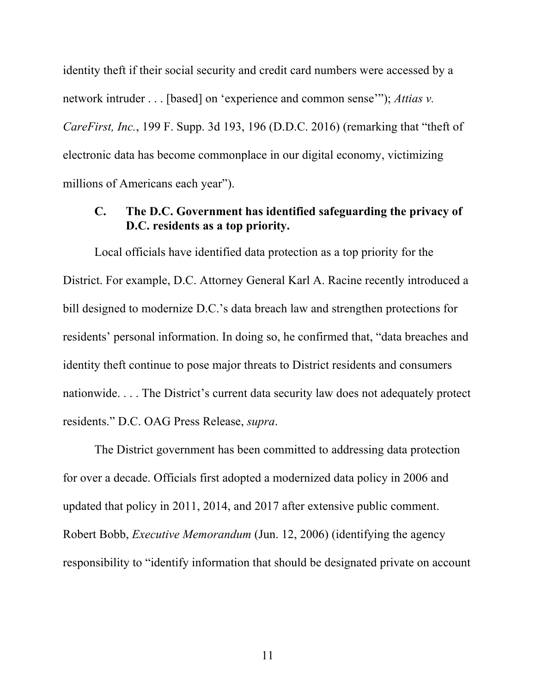identity theft if their social security and credit card numbers were accessed by a network intruder . . . [based] on 'experience and common sense'"); *Attias v. CareFirst, Inc.*, 199 F. Supp. 3d 193, 196 (D.D.C. 2016) (remarking that "theft of electronic data has become commonplace in our digital economy, victimizing millions of Americans each year").

## **C. The D.C. Government has identified safeguarding the privacy of D.C. residents as a top priority.**

Local officials have identified data protection as a top priority for the District. For example, D.C. Attorney General Karl A. Racine recently introduced a bill designed to modernize D.C.'s data breach law and strengthen protections for residents' personal information. In doing so, he confirmed that, "data breaches and identity theft continue to pose major threats to District residents and consumers nationwide. . . . The District's current data security law does not adequately protect residents." D.C. OAG Press Release, *supra*.

The District government has been committed to addressing data protection for over a decade. Officials first adopted a modernized data policy in 2006 and updated that policy in 2011, 2014, and 2017 after extensive public comment. Robert Bobb, *Executive Memorandum* (Jun. 12, 2006) (identifying the agency responsibility to "identify information that should be designated private on account

11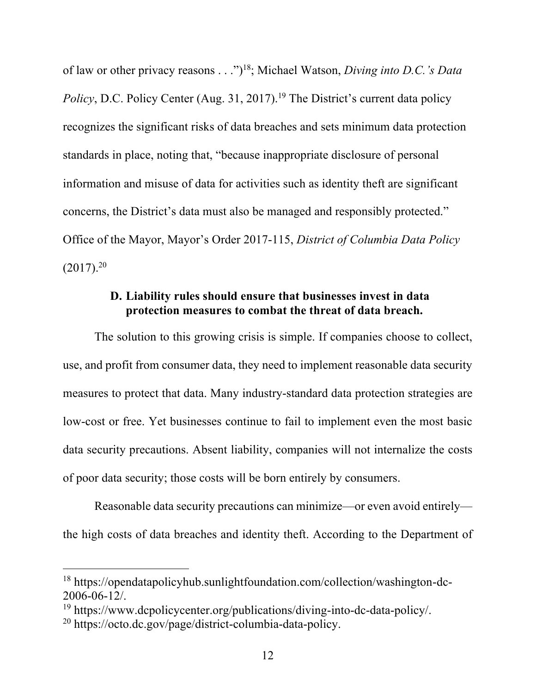of law or other privacy reasons . . .")18; Michael Watson, *Diving into D.C.'s Data*  Policy, D.C. Policy Center (Aug. 31, 2017).<sup>19</sup> The District's current data policy recognizes the significant risks of data breaches and sets minimum data protection standards in place, noting that, "because inappropriate disclosure of personal information and misuse of data for activities such as identity theft are significant concerns, the District's data must also be managed and responsibly protected." Office of the Mayor, Mayor's Order 2017-115, *District of Columbia Data Policy*  $(2017).^{20}$ 

### **D. Liability rules should ensure that businesses invest in data protection measures to combat the threat of data breach.**

The solution to this growing crisis is simple. If companies choose to collect, use, and profit from consumer data, they need to implement reasonable data security measures to protect that data. Many industry-standard data protection strategies are low-cost or free. Yet businesses continue to fail to implement even the most basic data security precautions. Absent liability, companies will not internalize the costs of poor data security; those costs will be born entirely by consumers.

Reasonable data security precautions can minimize—or even avoid entirely the high costs of data breaches and identity theft. According to the Department of

<sup>18</sup> https://opendatapolicyhub.sunlightfoundation.com/collection/washington-dc-2006-06-12/.

<sup>19</sup> https://www.dcpolicycenter.org/publications/diving-into-dc-data-policy/.

<sup>20</sup> https://octo.dc.gov/page/district-columbia-data-policy.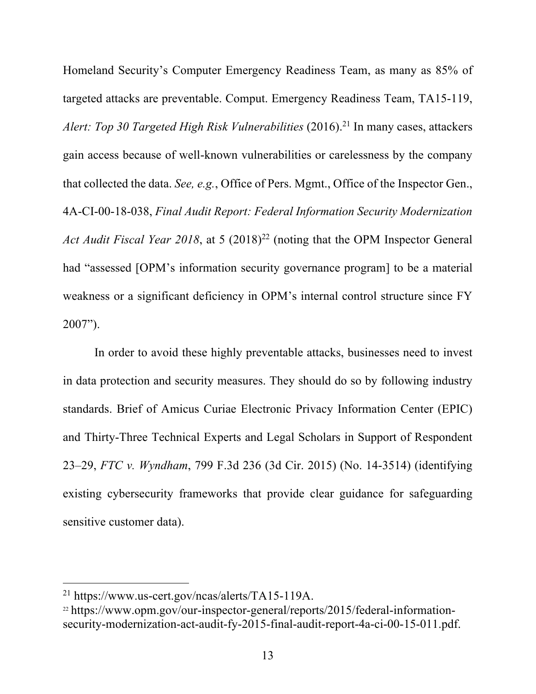Homeland Security's Computer Emergency Readiness Team, as many as 85% of targeted attacks are preventable. Comput. Emergency Readiness Team, TA15-119, *Alert: Top 30 Targeted High Risk Vulnerabilities* (2016). <sup>21</sup> In many cases, attackers gain access because of well-known vulnerabilities or carelessness by the company that collected the data. *See, e.g.*, Office of Pers. Mgmt., Office of the Inspector Gen., 4A-CI-00-18-038, *Final Audit Report: Federal Information Security Modernization Act Audit Fiscal Year 2018*, at 5 (2018) <sup>22</sup> (noting that the OPM Inspector General had "assessed [OPM's information security governance program] to be a material weakness or a significant deficiency in OPM's internal control structure since FY 2007").

In order to avoid these highly preventable attacks, businesses need to invest in data protection and security measures. They should do so by following industry standards. Brief of Amicus Curiae Electronic Privacy Information Center (EPIC) and Thirty-Three Technical Experts and Legal Scholars in Support of Respondent 23–29, *FTC v. Wyndham*, 799 F.3d 236 (3d Cir. 2015) (No. 14-3514) (identifying existing cybersecurity frameworks that provide clear guidance for safeguarding sensitive customer data).

<sup>21</sup> https://www.us-cert.gov/ncas/alerts/TA15-119A.

<sup>22</sup> https://www.opm.gov/our-inspector-general/reports/2015/federal-informationsecurity-modernization-act-audit-fy-2015-final-audit-report-4a-ci-00-15-011.pdf.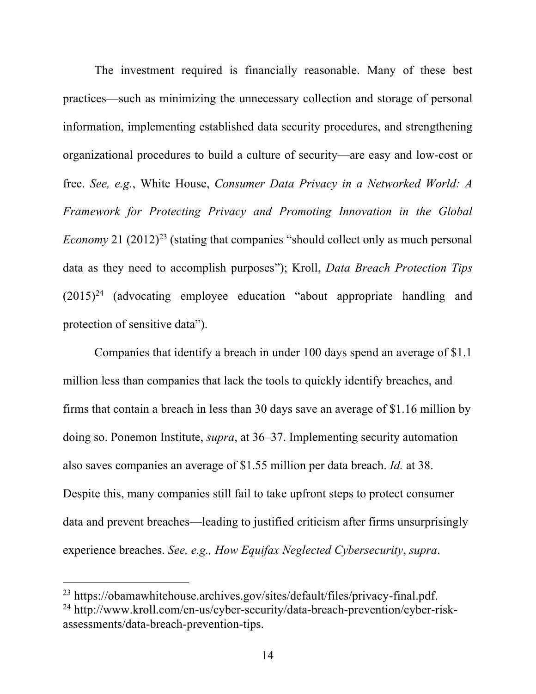The investment required is financially reasonable. Many of these best practices—such as minimizing the unnecessary collection and storage of personal information, implementing established data security procedures, and strengthening organizational procedures to build a culture of security—are easy and low-cost or free. *See, e.g.*, White House, *Consumer Data Privacy in a Networked World: A Framework for Protecting Privacy and Promoting Innovation in the Global Economy* 21  $(2012)^{23}$  (stating that companies "should collect only as much personal data as they need to accomplish purposes"); Kroll, *Data Breach Protection Tips*   $(2015)^{24}$  (advocating employee education "about appropriate handling and protection of sensitive data").

Companies that identify a breach in under 100 days spend an average of \$1.1 million less than companies that lack the tools to quickly identify breaches, and firms that contain a breach in less than 30 days save an average of \$1.16 million by doing so. Ponemon Institute, *supra*, at 36–37. Implementing security automation also saves companies an average of \$1.55 million per data breach. *Id.* at 38. Despite this, many companies still fail to take upfront steps to protect consumer data and prevent breaches—leading to justified criticism after firms unsurprisingly experience breaches. *See, e.g., How Equifax Neglected Cybersecurity*, *supra*.

l

<sup>23</sup> https://obamawhitehouse.archives.gov/sites/default/files/privacy-final.pdf.

<sup>24</sup> http://www.kroll.com/en-us/cyber-security/data-breach-prevention/cyber-riskassessments/data-breach-prevention-tips.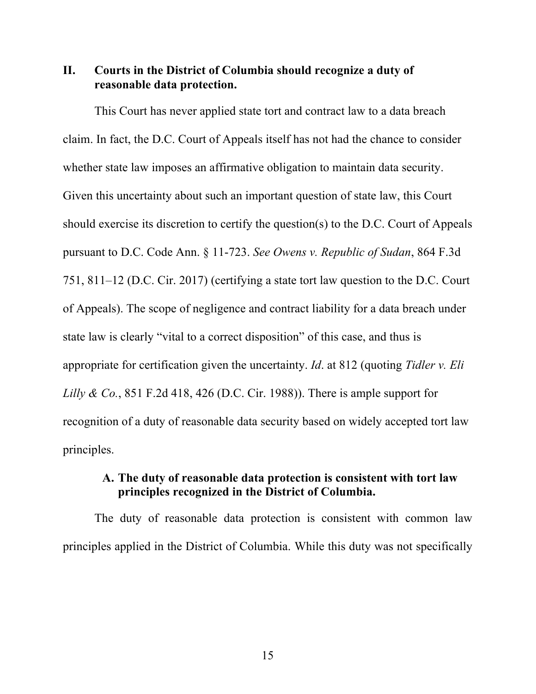### **II. Courts in the District of Columbia should recognize a duty of reasonable data protection.**

This Court has never applied state tort and contract law to a data breach claim. In fact, the D.C. Court of Appeals itself has not had the chance to consider whether state law imposes an affirmative obligation to maintain data security. Given this uncertainty about such an important question of state law, this Court should exercise its discretion to certify the question(s) to the D.C. Court of Appeals pursuant to D.C. Code Ann. § 11-723. *See Owens v. Republic of Sudan*, 864 F.3d 751, 811–12 (D.C. Cir. 2017) (certifying a state tort law question to the D.C. Court of Appeals). The scope of negligence and contract liability for a data breach under state law is clearly "vital to a correct disposition" of this case, and thus is appropriate for certification given the uncertainty. *Id*. at 812 (quoting *Tidler v. Eli Lilly & Co.*, 851 F.2d 418, 426 (D.C. Cir. 1988)). There is ample support for recognition of a duty of reasonable data security based on widely accepted tort law principles.

#### **A. The duty of reasonable data protection is consistent with tort law principles recognized in the District of Columbia.**

The duty of reasonable data protection is consistent with common law principles applied in the District of Columbia. While this duty was not specifically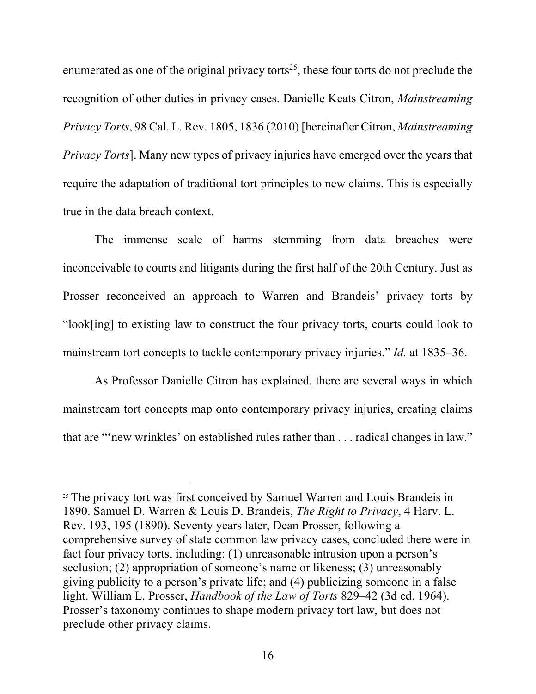enumerated as one of the original privacy torts<sup>25</sup>, these four torts do not preclude the recognition of other duties in privacy cases. Danielle Keats Citron, *Mainstreaming Privacy Torts*, 98 Cal. L. Rev. 1805, 1836 (2010) [hereinafter Citron, *Mainstreaming Privacy Torts*]. Many new types of privacy injuries have emerged over the years that require the adaptation of traditional tort principles to new claims. This is especially true in the data breach context.

The immense scale of harms stemming from data breaches were inconceivable to courts and litigants during the first half of the 20th Century. Just as Prosser reconceived an approach to Warren and Brandeis' privacy torts by "look[ing] to existing law to construct the four privacy torts, courts could look to mainstream tort concepts to tackle contemporary privacy injuries." *Id.* at 1835–36.

As Professor Danielle Citron has explained, there are several ways in which mainstream tort concepts map onto contemporary privacy injuries, creating claims that are "'new wrinkles' on established rules rather than . . . radical changes in law."

<sup>&</sup>lt;sup>25</sup> The privacy tort was first conceived by Samuel Warren and Louis Brandeis in 1890. Samuel D. Warren & Louis D. Brandeis, *The Right to Privacy*, 4 Harv. L. Rev. 193, 195 (1890). Seventy years later, Dean Prosser, following a comprehensive survey of state common law privacy cases, concluded there were in fact four privacy torts, including: (1) unreasonable intrusion upon a person's seclusion; (2) appropriation of someone's name or likeness; (3) unreasonably giving publicity to a person's private life; and (4) publicizing someone in a false light. William L. Prosser, *Handbook of the Law of Torts* 829–42 (3d ed. 1964). Prosser's taxonomy continues to shape modern privacy tort law, but does not preclude other privacy claims.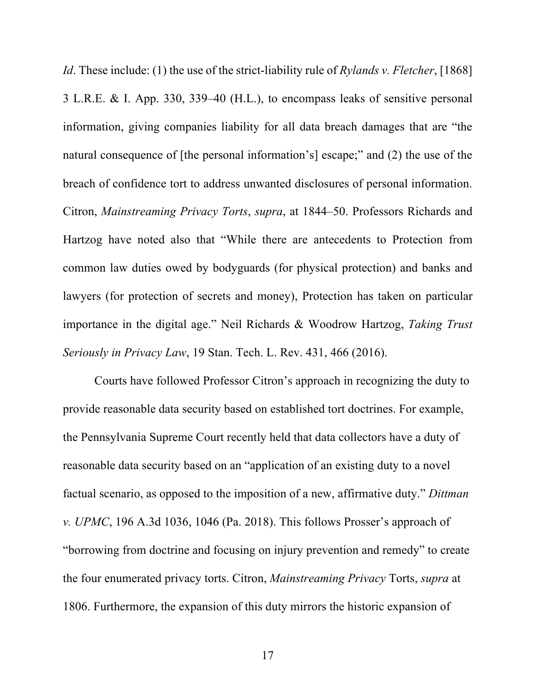*Id*. These include: (1) the use of the strict-liability rule of *Rylands v. Fletcher*, [1868] 3 L.R.E. & I. App. 330, 339–40 (H.L.), to encompass leaks of sensitive personal information, giving companies liability for all data breach damages that are "the natural consequence of [the personal information's] escape;" and (2) the use of the breach of confidence tort to address unwanted disclosures of personal information. Citron, *Mainstreaming Privacy Torts*, *supra*, at 1844–50. Professors Richards and Hartzog have noted also that "While there are antecedents to Protection from common law duties owed by bodyguards (for physical protection) and banks and lawyers (for protection of secrets and money), Protection has taken on particular importance in the digital age." Neil Richards & Woodrow Hartzog, *Taking Trust Seriously in Privacy Law*, 19 Stan. Tech. L. Rev. 431, 466 (2016).

Courts have followed Professor Citron's approach in recognizing the duty to provide reasonable data security based on established tort doctrines. For example, the Pennsylvania Supreme Court recently held that data collectors have a duty of reasonable data security based on an "application of an existing duty to a novel factual scenario, as opposed to the imposition of a new, affirmative duty." *Dittman v. UPMC*, 196 A.3d 1036, 1046 (Pa. 2018). This follows Prosser's approach of "borrowing from doctrine and focusing on injury prevention and remedy" to create the four enumerated privacy torts. Citron, *Mainstreaming Privacy* Torts, *supra* at 1806. Furthermore, the expansion of this duty mirrors the historic expansion of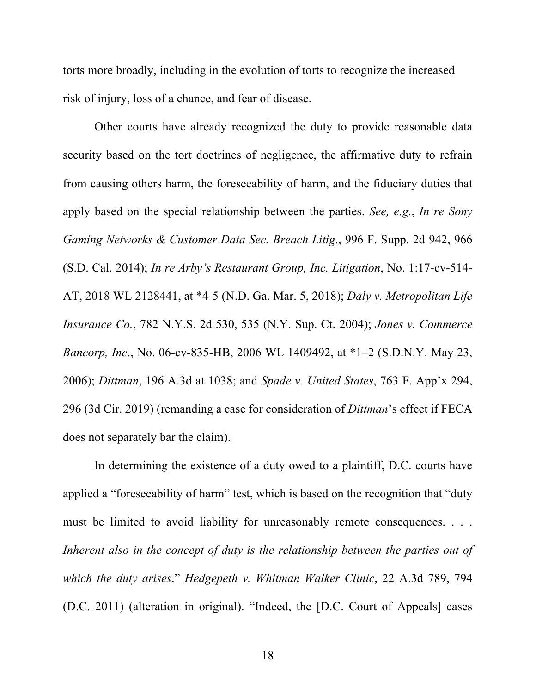torts more broadly, including in the evolution of torts to recognize the increased risk of injury, loss of a chance, and fear of disease.

Other courts have already recognized the duty to provide reasonable data security based on the tort doctrines of negligence, the affirmative duty to refrain from causing others harm, the foreseeability of harm, and the fiduciary duties that apply based on the special relationship between the parties. *See, e.g.*, *In re Sony Gaming Networks & Customer Data Sec. Breach Litig*., 996 F. Supp. 2d 942, 966 (S.D. Cal. 2014); *In re Arby's Restaurant Group, Inc. Litigation*, No. 1:17-cv-514- AT, 2018 WL 2128441, at \*4-5 (N.D. Ga. Mar. 5, 2018); *Daly v. Metropolitan Life Insurance Co.*, 782 N.Y.S. 2d 530, 535 (N.Y. Sup. Ct. 2004); *Jones v. Commerce Bancorp, Inc*., No. 06-cv-835-HB, 2006 WL 1409492, at \*1–2 (S.D.N.Y. May 23, 2006); *Dittman*, 196 A.3d at 1038; and *Spade v. United States*, 763 F. App'x 294, 296 (3d Cir. 2019) (remanding a case for consideration of *Dittman*'s effect if FECA does not separately bar the claim).

In determining the existence of a duty owed to a plaintiff, D.C. courts have applied a "foreseeability of harm" test, which is based on the recognition that "duty must be limited to avoid liability for unreasonably remote consequences. . . . *Inherent also in the concept of duty is the relationship between the parties out of which the duty arises*." *Hedgepeth v. Whitman Walker Clinic*, 22 A.3d 789, 794 (D.C. 2011) (alteration in original). "Indeed, the [D.C. Court of Appeals] cases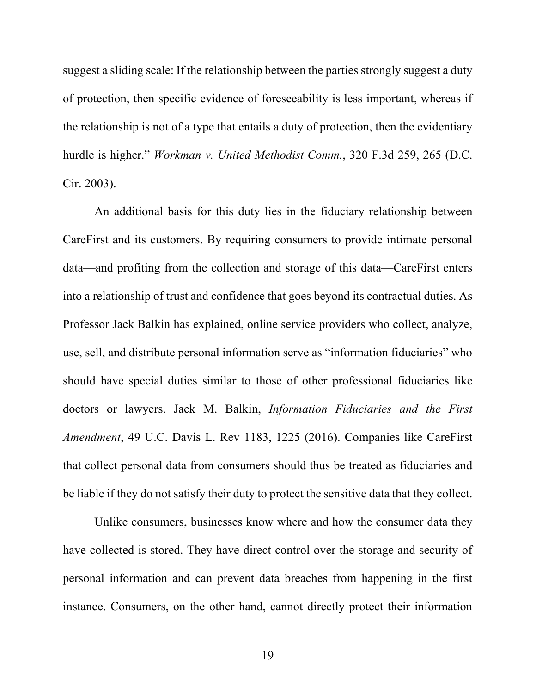suggest a sliding scale: If the relationship between the parties strongly suggest a duty of protection, then specific evidence of foreseeability is less important, whereas if the relationship is not of a type that entails a duty of protection, then the evidentiary hurdle is higher." *Workman v. United Methodist Comm.*, 320 F.3d 259, 265 (D.C. Cir. 2003).

An additional basis for this duty lies in the fiduciary relationship between CareFirst and its customers. By requiring consumers to provide intimate personal data—and profiting from the collection and storage of this data—CareFirst enters into a relationship of trust and confidence that goes beyond its contractual duties. As Professor Jack Balkin has explained, online service providers who collect, analyze, use, sell, and distribute personal information serve as "information fiduciaries" who should have special duties similar to those of other professional fiduciaries like doctors or lawyers. Jack M. Balkin, *Information Fiduciaries and the First Amendment*, 49 U.C. Davis L. Rev 1183, 1225 (2016). Companies like CareFirst that collect personal data from consumers should thus be treated as fiduciaries and be liable if they do not satisfy their duty to protect the sensitive data that they collect.

Unlike consumers, businesses know where and how the consumer data they have collected is stored. They have direct control over the storage and security of personal information and can prevent data breaches from happening in the first instance. Consumers, on the other hand, cannot directly protect their information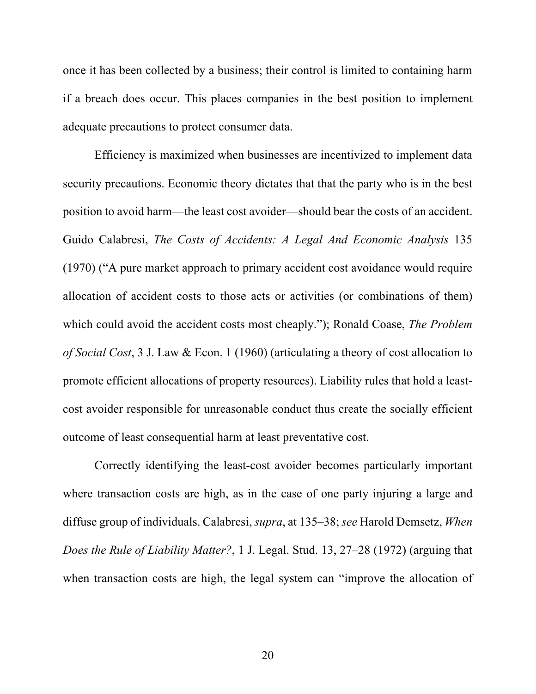once it has been collected by a business; their control is limited to containing harm if a breach does occur. This places companies in the best position to implement adequate precautions to protect consumer data.

Efficiency is maximized when businesses are incentivized to implement data security precautions. Economic theory dictates that that the party who is in the best position to avoid harm—the least cost avoider—should bear the costs of an accident. Guido Calabresi, *The Costs of Accidents: A Legal And Economic Analysis* 135 (1970) ("A pure market approach to primary accident cost avoidance would require allocation of accident costs to those acts or activities (or combinations of them) which could avoid the accident costs most cheaply."); Ronald Coase, *The Problem of Social Cost*, 3 J. Law & Econ. 1 (1960) (articulating a theory of cost allocation to promote efficient allocations of property resources). Liability rules that hold a leastcost avoider responsible for unreasonable conduct thus create the socially efficient outcome of least consequential harm at least preventative cost.

Correctly identifying the least-cost avoider becomes particularly important where transaction costs are high, as in the case of one party injuring a large and diffuse group of individuals. Calabresi, *supra*, at 135–38; *see* Harold Demsetz, *When Does the Rule of Liability Matter?*, 1 J. Legal. Stud. 13, 27–28 (1972) (arguing that when transaction costs are high, the legal system can "improve the allocation of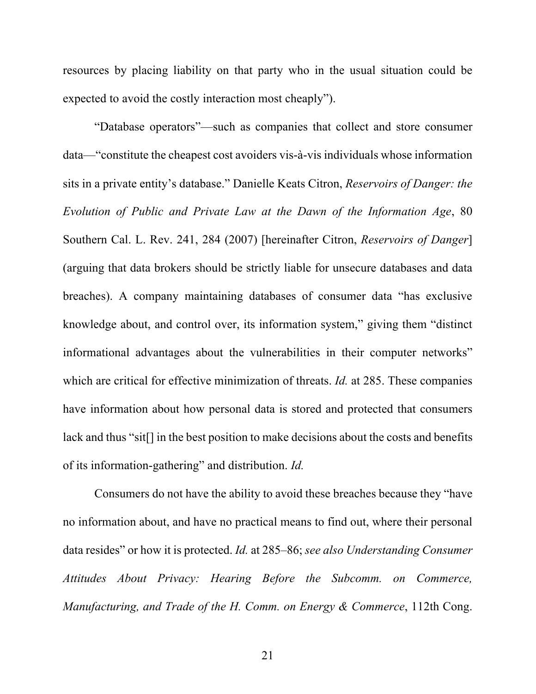resources by placing liability on that party who in the usual situation could be expected to avoid the costly interaction most cheaply").

"Database operators"—such as companies that collect and store consumer data—"constitute the cheapest cost avoiders vis-à-vis individuals whose information sits in a private entity's database." Danielle Keats Citron, *Reservoirs of Danger: the Evolution of Public and Private Law at the Dawn of the Information Age*, 80 Southern Cal. L. Rev. 241, 284 (2007) [hereinafter Citron, *Reservoirs of Danger*] (arguing that data brokers should be strictly liable for unsecure databases and data breaches). A company maintaining databases of consumer data "has exclusive knowledge about, and control over, its information system," giving them "distinct informational advantages about the vulnerabilities in their computer networks" which are critical for effective minimization of threats. *Id.* at 285. These companies have information about how personal data is stored and protected that consumers lack and thus "sit[] in the best position to make decisions about the costs and benefits of its information-gathering" and distribution. *Id.*

Consumers do not have the ability to avoid these breaches because they "have no information about, and have no practical means to find out, where their personal data resides" or how it is protected. *Id.* at 285–86; *see also Understanding Consumer Attitudes About Privacy: Hearing Before the Subcomm. on Commerce, Manufacturing, and Trade of the H. Comm. on Energy & Commerce*, 112th Cong.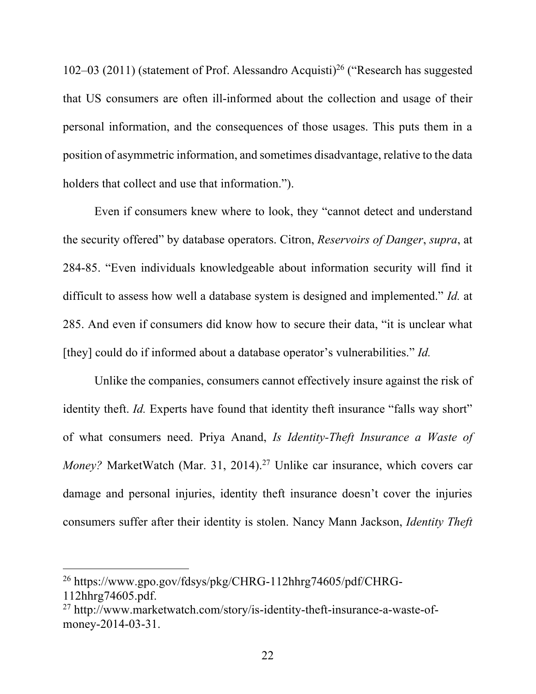102–03 (2011) (statement of Prof. Alessandro Acquisti)<sup>26</sup> ("Research has suggested that US consumers are often ill-informed about the collection and usage of their personal information, and the consequences of those usages. This puts them in a position of asymmetric information, and sometimes disadvantage, relative to the data holders that collect and use that information.").

Even if consumers knew where to look, they "cannot detect and understand the security offered" by database operators. Citron, *Reservoirs of Danger*, *supra*, at 284-85. "Even individuals knowledgeable about information security will find it difficult to assess how well a database system is designed and implemented." *Id.* at 285. And even if consumers did know how to secure their data, "it is unclear what [they] could do if informed about a database operator's vulnerabilities." *Id.*

Unlike the companies, consumers cannot effectively insure against the risk of identity theft. *Id.* Experts have found that identity theft insurance "falls way short" of what consumers need. Priya Anand, *Is Identity-Theft Insurance a Waste of Money?* MarketWatch (Mar. 31, 2014). <sup>27</sup> Unlike car insurance, which covers car damage and personal injuries, identity theft insurance doesn't cover the injuries consumers suffer after their identity is stolen. Nancy Mann Jackson, *Identity Theft* 

<sup>26</sup> https://www.gpo.gov/fdsys/pkg/CHRG-112hhrg74605/pdf/CHRG-

<sup>112</sup>hhrg74605.pdf.

<sup>27</sup> http://www.marketwatch.com/story/is-identity-theft-insurance-a-waste-ofmoney-2014-03-31.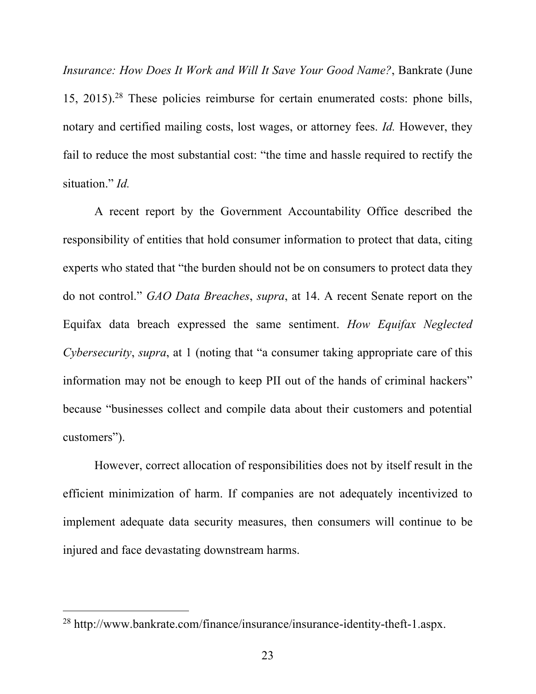*Insurance: How Does It Work and Will It Save Your Good Name?*, Bankrate (June 15, 2015). <sup>28</sup> These policies reimburse for certain enumerated costs: phone bills, notary and certified mailing costs, lost wages, or attorney fees. *Id.* However, they fail to reduce the most substantial cost: "the time and hassle required to rectify the situation." *Id.*

A recent report by the Government Accountability Office described the responsibility of entities that hold consumer information to protect that data, citing experts who stated that "the burden should not be on consumers to protect data they do not control." *GAO Data Breaches*, *supra*, at 14. A recent Senate report on the Equifax data breach expressed the same sentiment. *How Equifax Neglected Cybersecurity*, *supra*, at 1 (noting that "a consumer taking appropriate care of this information may not be enough to keep PII out of the hands of criminal hackers" because "businesses collect and compile data about their customers and potential customers").

However, correct allocation of responsibilities does not by itself result in the efficient minimization of harm. If companies are not adequately incentivized to implement adequate data security measures, then consumers will continue to be injured and face devastating downstream harms.

<sup>28</sup> http://www.bankrate.com/finance/insurance/insurance-identity-theft-1.aspx.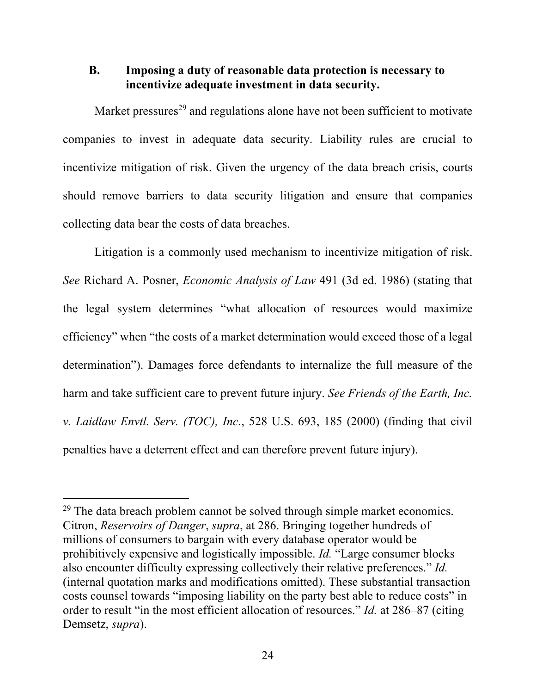## **B. Imposing a duty of reasonable data protection is necessary to incentivize adequate investment in data security.**

Market pressures<sup>29</sup> and regulations alone have not been sufficient to motivate companies to invest in adequate data security. Liability rules are crucial to incentivize mitigation of risk. Given the urgency of the data breach crisis, courts should remove barriers to data security litigation and ensure that companies collecting data bear the costs of data breaches.

Litigation is a commonly used mechanism to incentivize mitigation of risk. *See* Richard A. Posner, *Economic Analysis of Law* 491 (3d ed. 1986) (stating that the legal system determines "what allocation of resources would maximize efficiency" when "the costs of a market determination would exceed those of a legal determination"). Damages force defendants to internalize the full measure of the harm and take sufficient care to prevent future injury. *See Friends of the Earth, Inc. v. Laidlaw Envtl. Serv. (TOC), Inc.*, 528 U.S. 693, 185 (2000) (finding that civil penalties have a deterrent effect and can therefore prevent future injury).

 $29$  The data breach problem cannot be solved through simple market economics. Citron, *Reservoirs of Danger*, *supra*, at 286. Bringing together hundreds of millions of consumers to bargain with every database operator would be prohibitively expensive and logistically impossible. *Id.* "Large consumer blocks also encounter difficulty expressing collectively their relative preferences." *Id.* (internal quotation marks and modifications omitted). These substantial transaction costs counsel towards "imposing liability on the party best able to reduce costs" in order to result "in the most efficient allocation of resources." *Id.* at 286–87 (citing Demsetz, *supra*).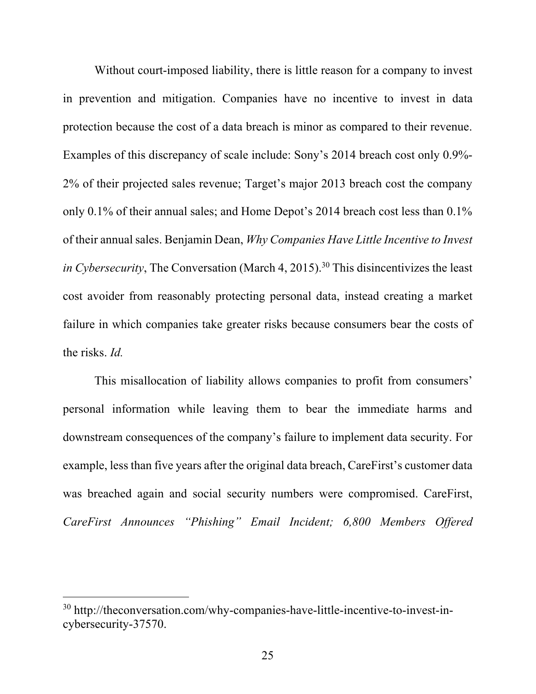Without court-imposed liability, there is little reason for a company to invest in prevention and mitigation. Companies have no incentive to invest in data protection because the cost of a data breach is minor as compared to their revenue. Examples of this discrepancy of scale include: Sony's 2014 breach cost only 0.9%- 2% of their projected sales revenue; Target's major 2013 breach cost the company only 0.1% of their annual sales; and Home Depot's 2014 breach cost less than 0.1% of their annual sales. Benjamin Dean, *Why Companies Have Little Incentive to Invest in Cybersecurity*, The Conversation (March 4, 2015). <sup>30</sup> This disincentivizes the least cost avoider from reasonably protecting personal data, instead creating a market failure in which companies take greater risks because consumers bear the costs of the risks. *Id.* 

This misallocation of liability allows companies to profit from consumers' personal information while leaving them to bear the immediate harms and downstream consequences of the company's failure to implement data security. For example, less than five years after the original data breach, CareFirst's customer data was breached again and social security numbers were compromised. CareFirst, *CareFirst Announces "Phishing" Email Incident; 6,800 Members Offered* 

<sup>30</sup> http://theconversation.com/why-companies-have-little-incentive-to-invest-incybersecurity-37570.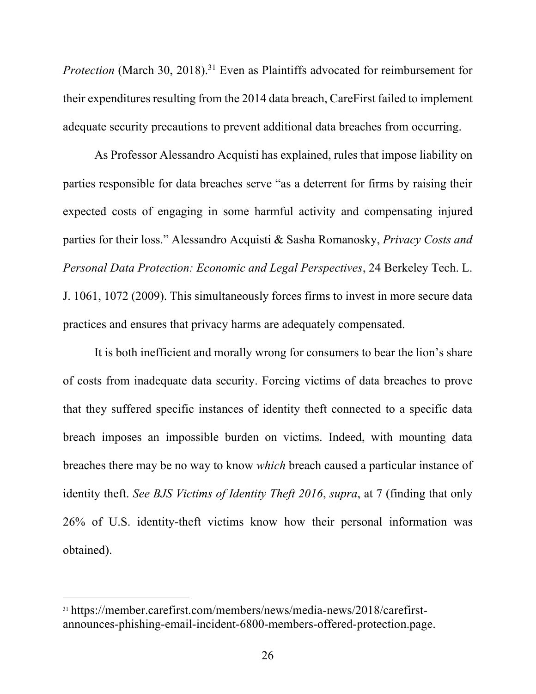*Protection* (March 30, 2018). <sup>31</sup> Even as Plaintiffs advocated for reimbursement for their expenditures resulting from the 2014 data breach, CareFirst failed to implement adequate security precautions to prevent additional data breaches from occurring.

As Professor Alessandro Acquisti has explained, rules that impose liability on parties responsible for data breaches serve "as a deterrent for firms by raising their expected costs of engaging in some harmful activity and compensating injured parties for their loss." Alessandro Acquisti & Sasha Romanosky, *Privacy Costs and Personal Data Protection: Economic and Legal Perspectives*, 24 Berkeley Tech. L. J. 1061, 1072 (2009). This simultaneously forces firms to invest in more secure data practices and ensures that privacy harms are adequately compensated.

It is both inefficient and morally wrong for consumers to bear the lion's share of costs from inadequate data security. Forcing victims of data breaches to prove that they suffered specific instances of identity theft connected to a specific data breach imposes an impossible burden on victims. Indeed, with mounting data breaches there may be no way to know *which* breach caused a particular instance of identity theft. *See BJS Victims of Identity Theft 2016*, *supra*, at 7 (finding that only 26% of U.S. identity-theft victims know how their personal information was obtained).

<sup>31</sup> https://member.carefirst.com/members/news/media-news/2018/carefirstannounces-phishing-email-incident-6800-members-offered-protection.page.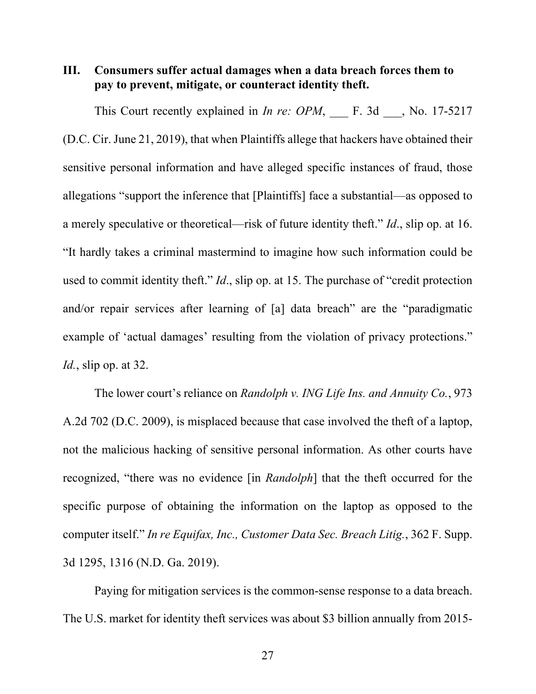#### **III. Consumers suffer actual damages when a data breach forces them to pay to prevent, mitigate, or counteract identity theft.**

This Court recently explained in *In re: OPM*, F. 3d, No. 17-5217 (D.C. Cir. June 21, 2019), that when Plaintiffs allege that hackers have obtained their sensitive personal information and have alleged specific instances of fraud, those allegations "support the inference that [Plaintiffs] face a substantial—as opposed to a merely speculative or theoretical—risk of future identity theft." *Id*., slip op. at 16. "It hardly takes a criminal mastermind to imagine how such information could be used to commit identity theft." *Id*., slip op. at 15. The purchase of "credit protection and/or repair services after learning of [a] data breach" are the "paradigmatic example of 'actual damages' resulting from the violation of privacy protections." *Id.*, slip op. at 32.

The lower court's reliance on *Randolph v. ING Life Ins. and Annuity Co.*, 973 A.2d 702 (D.C. 2009), is misplaced because that case involved the theft of a laptop, not the malicious hacking of sensitive personal information. As other courts have recognized, "there was no evidence [in *Randolph*] that the theft occurred for the specific purpose of obtaining the information on the laptop as opposed to the computer itself." *In re Equifax, Inc., Customer Data Sec. Breach Litig.*, 362 F. Supp. 3d 1295, 1316 (N.D. Ga. 2019).

Paying for mitigation services is the common-sense response to a data breach. The U.S. market for identity theft services was about \$3 billion annually from 2015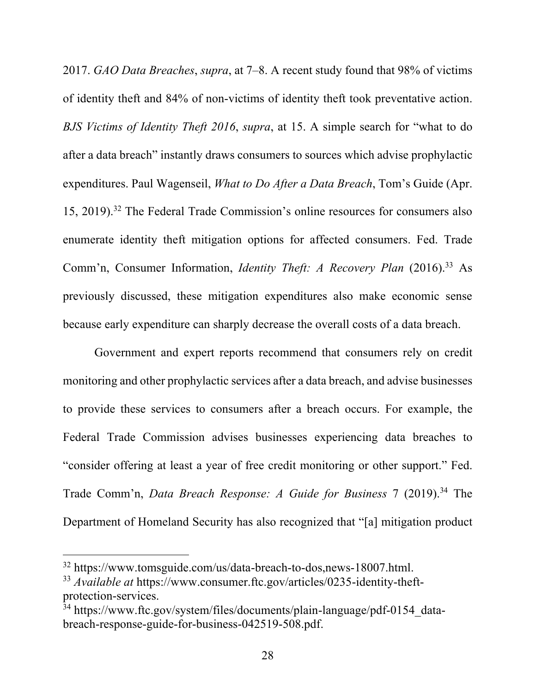2017. *GAO Data Breaches*, *supra*, at 7–8. A recent study found that 98% of victims of identity theft and 84% of non-victims of identity theft took preventative action. *BJS Victims of Identity Theft 2016*, *supra*, at 15. A simple search for "what to do after a data breach" instantly draws consumers to sources which advise prophylactic expenditures. Paul Wagenseil, *What to Do After a Data Breach*, Tom's Guide (Apr. 15, 2019). <sup>32</sup> The Federal Trade Commission's online resources for consumers also enumerate identity theft mitigation options for affected consumers. Fed. Trade Comm'n, Consumer Information, *Identity Theft: A Recovery Plan* (2016). <sup>33</sup> As previously discussed, these mitigation expenditures also make economic sense because early expenditure can sharply decrease the overall costs of a data breach.

Government and expert reports recommend that consumers rely on credit monitoring and other prophylactic services after a data breach, and advise businesses to provide these services to consumers after a breach occurs. For example, the Federal Trade Commission advises businesses experiencing data breaches to "consider offering at least a year of free credit monitoring or other support." Fed. Trade Comm'n, *Data Breach Response: A Guide for Business* 7 (2019). <sup>34</sup> The Department of Homeland Security has also recognized that "[a] mitigation product

<sup>32</sup> https://www.tomsguide.com/us/data-breach-to-dos,news-18007.html.

<sup>33</sup> *Available at* https://www.consumer.ftc.gov/articles/0235-identity-theftprotection-services.

 $34$  https://www.ftc.gov/system/files/documents/plain-language/pdf-0154 databreach-response-guide-for-business-042519-508.pdf.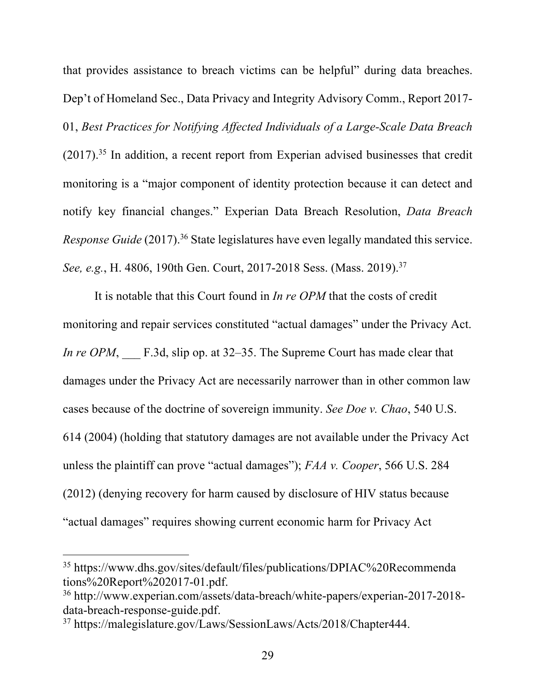that provides assistance to breach victims can be helpful" during data breaches. Dep't of Homeland Sec., Data Privacy and Integrity Advisory Comm., Report 2017- 01, *Best Practices for Notifying Affected Individuals of a Large-Scale Data Breach*  $(2017).$ <sup>35</sup> In addition, a recent report from Experian advised businesses that credit monitoring is a "major component of identity protection because it can detect and notify key financial changes." Experian Data Breach Resolution, *Data Breach*  Response Guide (2017).<sup>36</sup> State legislatures have even legally mandated this service. See, e.g., H. 4806, 190th Gen. Court, 2017-2018 Sess. (Mass. 2019).<sup>37</sup>

It is notable that this Court found in *In re OPM* that the costs of credit monitoring and repair services constituted "actual damages" under the Privacy Act. *In re OPM*, F.3d, slip op. at 32–35. The Supreme Court has made clear that damages under the Privacy Act are necessarily narrower than in other common law cases because of the doctrine of sovereign immunity. *See Doe v. Chao*, 540 U.S. 614 (2004) (holding that statutory damages are not available under the Privacy Act unless the plaintiff can prove "actual damages"); *FAA v. Cooper*, 566 U.S. 284 (2012) (denying recovery for harm caused by disclosure of HIV status because "actual damages" requires showing current economic harm for Privacy Act

<sup>35</sup> https://www.dhs.gov/sites/default/files/publications/DPIAC%20Recommenda tions%20Report%202017-01.pdf.

<sup>36</sup> http://www.experian.com/assets/data-breach/white-papers/experian-2017-2018 data-breach-response-guide.pdf.

<sup>37</sup> https://malegislature.gov/Laws/SessionLaws/Acts/2018/Chapter444.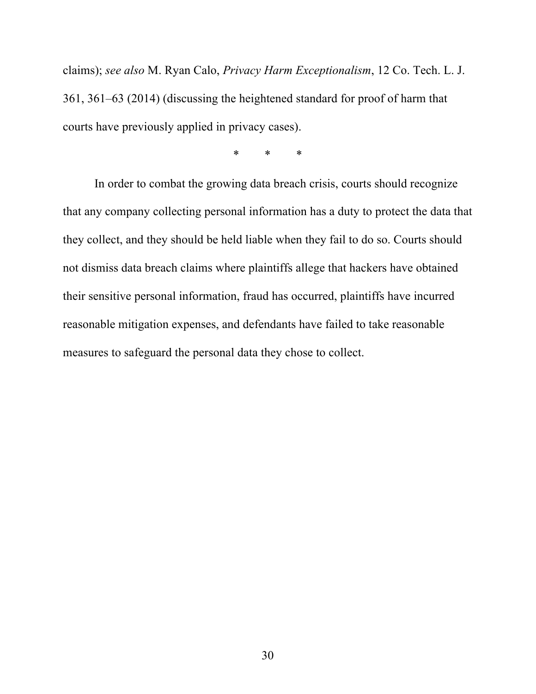claims); *see also* M. Ryan Calo, *Privacy Harm Exceptionalism*, 12 Co. Tech. L. J. 361, 361–63 (2014) (discussing the heightened standard for proof of harm that courts have previously applied in privacy cases).

\* \* \*

In order to combat the growing data breach crisis, courts should recognize that any company collecting personal information has a duty to protect the data that they collect, and they should be held liable when they fail to do so. Courts should not dismiss data breach claims where plaintiffs allege that hackers have obtained their sensitive personal information, fraud has occurred, plaintiffs have incurred reasonable mitigation expenses, and defendants have failed to take reasonable measures to safeguard the personal data they chose to collect.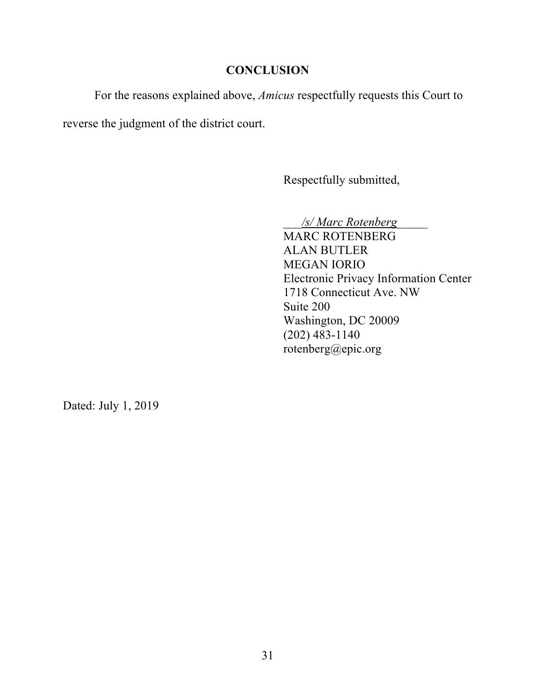## **CONCLUSION**

For the reasons explained above, *Amicus* respectfully requests this Court to

reverse the judgment of the district court.

Respectfully submitted,

\_\_\_*/s/ Marc Rotenberg*\_\_\_\_\_ MARC ROTENBERG ALAN BUTLER MEGAN IORIO Electronic Privacy Information Center 1718 Connecticut Ave. NW Suite 200 Washington, DC 20009 (202) 483-1140 rotenberg@epic.org

Dated: July 1, 2019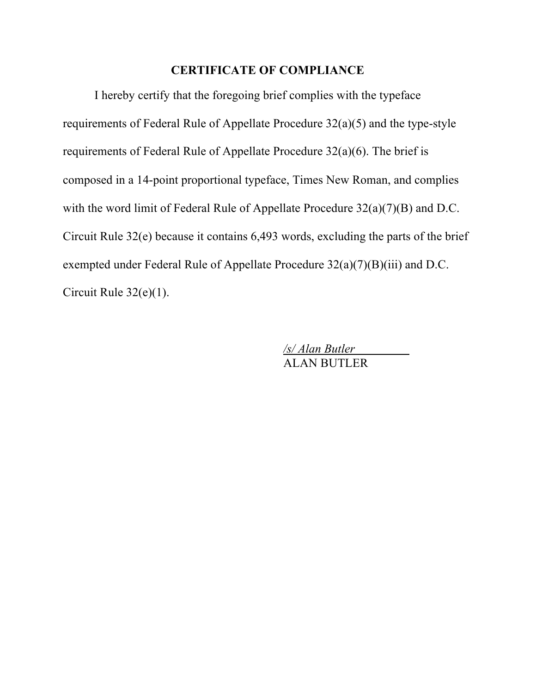### **CERTIFICATE OF COMPLIANCE**

I hereby certify that the foregoing brief complies with the typeface requirements of Federal Rule of Appellate Procedure 32(a)(5) and the type-style requirements of Federal Rule of Appellate Procedure 32(a)(6). The brief is composed in a 14-point proportional typeface, Times New Roman, and complies with the word limit of Federal Rule of Appellate Procedure 32(a)(7)(B) and D.C. Circuit Rule 32(e) because it contains 6,493 words, excluding the parts of the brief exempted under Federal Rule of Appellate Procedure 32(a)(7)(B)(iii) and D.C. Circuit Rule 32(e)(1).

> */s/ Alan Butler* ALAN BUTLER